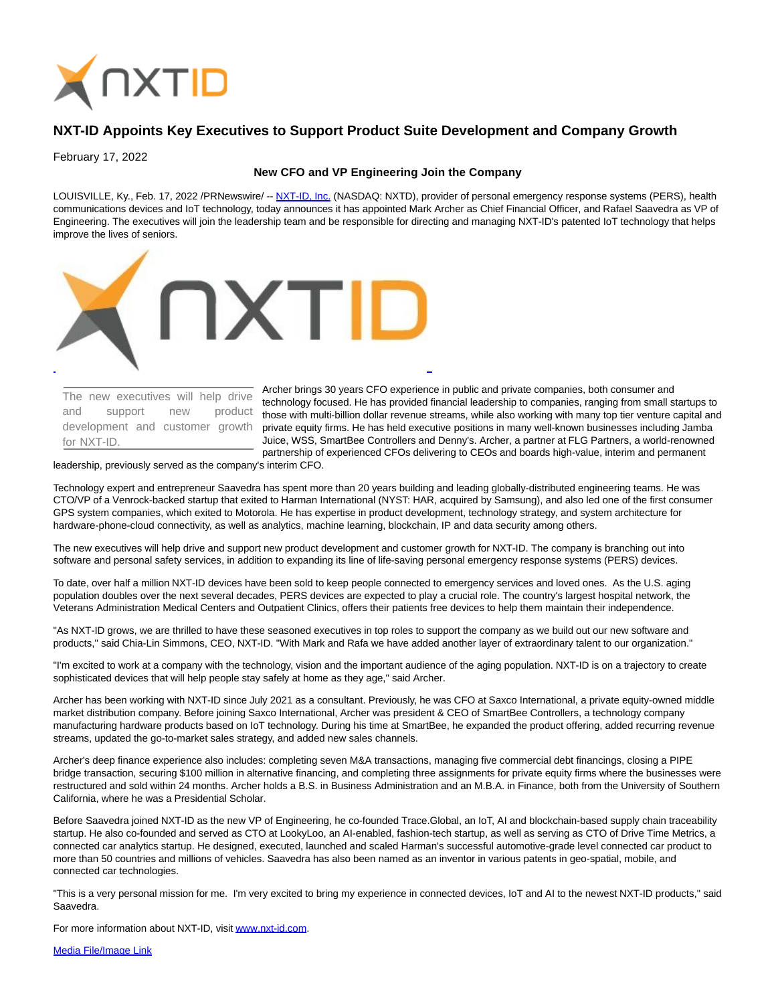

# **NXT-ID Appoints Key Executives to Support Product Suite Development and Company Growth**

February 17, 2022

# **New CFO and VP Engineering Join the Company**

LOUISVILLE, Ky., Feb. 17, 2022 /PRNewswire/ -- [NXT-ID, Inc. \(](https://c212.net/c/link/?t=0&l=en&o=3447137-1&h=1950913040&u=http%3A%2F%2Fwww.nxt-id.com%2F&a=NXT-ID%2C+Inc.)NASDAQ: NXTD), provider of personal emergency response systems (PERS), health communications devices and IoT technology, today announces it has appointed Mark Archer as Chief Financial Officer, and Rafael Saavedra as VP of Engineering. The executives will join the leadership team and be responsible for directing and managing NXT-ID's patented IoT technology that helps improve the lives of seniors.



The new executives will help drive and support new product development and customer growth for NXT-ID.

Archer brings 30 years CFO experience in public and private companies, both consumer and technology focused. He has provided financial leadership to companies, ranging from small startups to those with multi-billion dollar revenue streams, while also working with many top tier venture capital and private equity firms. He has held executive positions in many well-known businesses including Jamba Juice, WSS, SmartBee Controllers and Denny's. Archer, a partner at FLG Partners, a world-renowned partnership of experienced CFOs delivering to CEOs and boards high-value, interim and permanent

#### leadership, previously served as the company's interim CFO.

Technology expert and entrepreneur Saavedra has spent more than 20 years building and leading globally-distributed engineering teams. He was CTO/VP of a Venrock-backed startup that exited to Harman International (NYST: HAR, acquired by Samsung), and also led one of the first consumer GPS system companies, which exited to Motorola. He has expertise in product development, technology strategy, and system architecture for hardware-phone-cloud connectivity, as well as analytics, machine learning, blockchain, IP and data security among others.

The new executives will help drive and support new product development and customer growth for NXT-ID. The company is branching out into software and personal safety services, in addition to expanding its line of life-saving personal emergency response systems (PERS) devices.

To date, over half a million NXT-ID devices have been sold to keep people connected to emergency services and loved ones. As the U.S. aging population doubles over the next several decades, PERS devices are expected to play a crucial role. The country's largest hospital network, the Veterans Administration Medical Centers and Outpatient Clinics, offers their patients free devices to help them maintain their independence.

"As NXT-ID grows, we are thrilled to have these seasoned executives in top roles to support the company as we build out our new software and products," said Chia-Lin Simmons, CEO, NXT-ID. "With Mark and Rafa we have added another layer of extraordinary talent to our organization."

"I'm excited to work at a company with the technology, vision and the important audience of the aging population. NXT-ID is on a trajectory to create sophisticated devices that will help people stay safely at home as they age," said Archer.

Archer has been working with NXT-ID since July 2021 as a consultant. Previously, he was CFO at Saxco International, a private equity-owned middle market distribution company. Before joining Saxco International, Archer was president & CEO of SmartBee Controllers, a technology company manufacturing hardware products based on IoT technology. During his time at SmartBee, he expanded the product offering, added recurring revenue streams, updated the go-to-market sales strategy, and added new sales channels.

Archer's deep finance experience also includes: completing seven M&A transactions, managing five commercial debt financings, closing a PIPE bridge transaction, securing \$100 million in alternative financing, and completing three assignments for private equity firms where the businesses were restructured and sold within 24 months. Archer holds a B.S. in Business Administration and an M.B.A. in Finance, both from the University of Southern California, where he was a Presidential Scholar.

Before Saavedra joined NXT-ID as the new VP of Engineering, he co-founded Trace.Global, an IoT, AI and blockchain-based supply chain traceability startup. He also co-founded and served as CTO at LookyLoo, an AI-enabled, fashion-tech startup, as well as serving as CTO of Drive Time Metrics, a connected car analytics startup. He designed, executed, launched and scaled Harman's successful automotive-grade level connected car product to more than 50 countries and millions of vehicles. Saavedra has also been named as an inventor in various patents in geo-spatial, mobile, and connected car technologies.

"This is a very personal mission for me. I'm very excited to bring my experience in connected devices, IoT and AI to the newest NXT-ID products," said Saavedra.

For more information about NXT-ID, visi[t www.nxt-id.com.](https://c212.net/c/link/?t=0&l=en&o=3447137-1&h=3692264629&u=https%3A%2F%2Fwww.nxt-id.com%2F&a=www.nxt-id.com)

[Media File/Image Link](https://c212.net/c/link/?t=0&l=en&o=3447137-1&h=594751267&u=https%3A%2F%2Fdrive.google.com%2Fdrive%2Ffolders%2F1JXNJgxDYFNwgSTYbrSQ8mpymM5zNsn4H&a=Media+File%2FImage+Link)